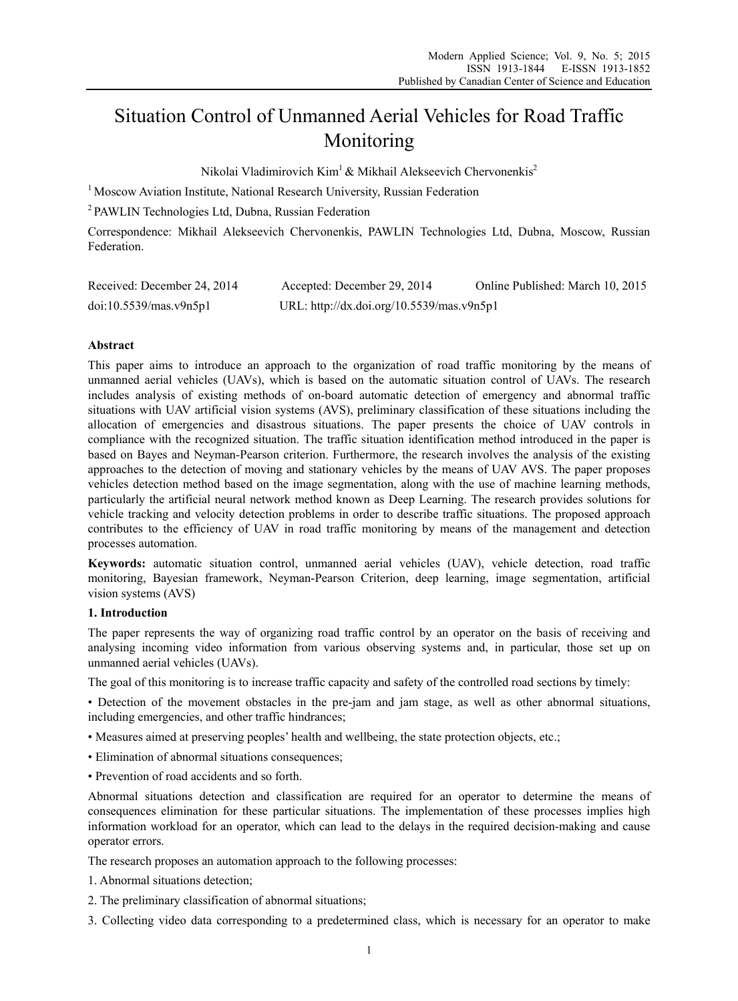# Situation Control of Unmanned Aerial Vehicles for Road Traffic Monitoring

Nikolai Vladimirovich Kim<sup>1</sup> & Mikhail Alekseevich Chervonenkis<sup>2</sup>

<sup>1</sup> Moscow Aviation Institute, National Research University, Russian Federation

2 PAWLIN Technologies Ltd, Dubna, Russian Federation

Correspondence: Mikhail Alekseevich Chervonenkis, PAWLIN Technologies Ltd, Dubna, Moscow, Russian Federation.

| Received: December 24, 2014 | Accepted: December 29, 2014               | Online Published: March 10, 2015 |
|-----------------------------|-------------------------------------------|----------------------------------|
| doi:10.5539/mas.v9n5p1      | URL: http://dx.doi.org/10.5539/mas.v9n5p1 |                                  |

# **Abstract**

This paper aims to introduce an approach to the organization of road traffic monitoring by the means of unmanned aerial vehicles (UAVs), which is based on the automatic situation control of UAVs. The research includes analysis of existing methods of on-board automatic detection of emergency and abnormal traffic situations with UAV artificial vision systems (AVS), preliminary classification of these situations including the allocation of emergencies and disastrous situations. The paper presents the choice of UAV controls in compliance with the recognized situation. The traffic situation identification method introduced in the paper is based on Bayes and Neyman-Pearson criterion. Furthermore, the research involves the analysis of the existing approaches to the detection of moving and stationary vehicles by the means of UAV AVS. The paper proposes vehicles detection method based on the image segmentation, along with the use of machine learning methods, particularly the artificial neural network method known as Deep Learning. The research provides solutions for vehicle tracking and velocity detection problems in order to describe traffic situations. The proposed approach contributes to the efficiency of UAV in road traffic monitoring by means of the management and detection processes automation.

**Keywords:** automatic situation control, unmanned aerial vehicles (UAV), vehicle detection, road traffic monitoring, Bayesian framework, Neyman-Pearson Criterion, deep learning, image segmentation, artificial vision systems (AVS)

# **1. Introduction**

The paper represents the way of organizing road traffic control by an operator on the basis of receiving and analysing incoming video information from various observing systems and, in particular, those set up on unmanned aerial vehicles (UAVs).

The goal of this monitoring is to increase traffic capacity and safety of the controlled road sections by timely:

• Detection of the movement obstacles in the pre-jam and jam stage, as well as other abnormal situations, including emergencies, and other traffic hindrances;

- Measures aimed at preserving peoples' health and wellbeing, the state protection objects, etc.;
- Elimination of abnormal situations consequences;
- Prevention of road accidents and so forth.

Abnormal situations detection and classification are required for an operator to determine the means of consequences elimination for these particular situations. The implementation of these processes implies high information workload for an operator, which can lead to the delays in the required decision-making and cause operator errors.

The research proposes an automation approach to the following processes:

- 1. Abnormal situations detection;
- 2. The preliminary classification of abnormal situations;
- 3. Collecting video data corresponding to a predetermined class, which is necessary for an operator to make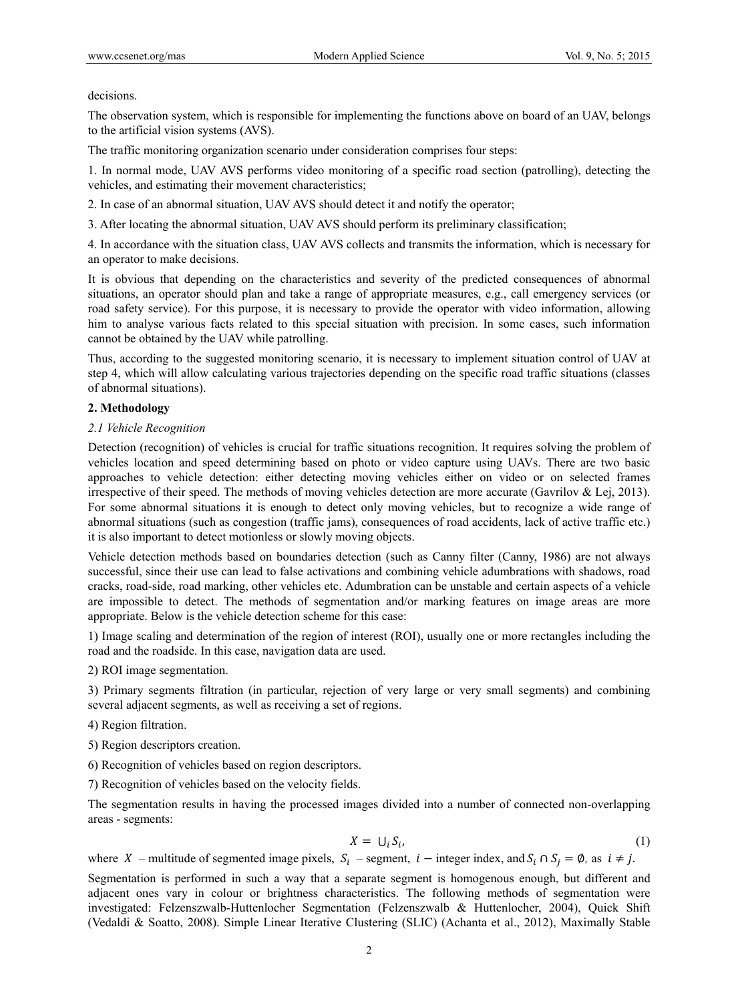## decisions.

The observation system, which is responsible for implementing the functions above on board of an UAV, belongs to the artificial vision systems (AVS).

The traffic monitoring organization scenario under consideration comprises four steps:

1. In normal mode, UAV AVS performs video monitoring of a specific road section (patrolling), detecting the vehicles, and estimating their movement characteristics;

2. In case of an abnormal situation, UAV AVS should detect it and notify the operator;

3. After locating the abnormal situation, UAV AVS should perform its preliminary classification;

4. In accordance with the situation class, UAV AVS collects and transmits the information, which is necessary for an operator to make decisions.

It is obvious that depending on the characteristics and severity of the predicted consequences of abnormal situations, an operator should plan and take a range of appropriate measures, e.g., call emergency services (or road safety service). For this purpose, it is necessary to provide the operator with video information, allowing him to analyse various facts related to this special situation with precision. In some cases, such information cannot be obtained by the UAV while patrolling.

Thus, according to the suggested monitoring scenario, it is necessary to implement situation control of UAV at step 4, which will allow calculating various trajectories depending on the specific road traffic situations (classes of abnormal situations).

# **2. Methodology**

## *2.1 Vehicle Recognition*

Detection (recognition) of vehicles is crucial for traffic situations recognition. It requires solving the problem of vehicles location and speed determining based on photo or video capture using UAVs. There are two basic approaches to vehicle detection: either detecting moving vehicles either on video or on selected frames irrespective of their speed. The methods of moving vehicles detection are more accurate (Gavrilov & Lej, 2013). For some abnormal situations it is enough to detect only moving vehicles, but to recognize a wide range of abnormal situations (such as congestion (traffic jams), consequences of road accidents, lack of active traffic etc.) it is also important to detect motionless or slowly moving objects.

Vehicle detection methods based on boundaries detection (such as Canny filter (Canny, 1986) are not always successful, since their use can lead to false activations and combining vehicle adumbrations with shadows, road cracks, road-side, road marking, other vehicles etc. Adumbration can be unstable and certain aspects of a vehicle are impossible to detect. The methods of segmentation and/or marking features on image areas are more appropriate. Below is the vehicle detection scheme for this case:

1) Image scaling and determination of the region of interest (ROI), usually one or more rectangles including the road and the roadside. In this case, navigation data are used.

2) ROI image segmentation.

3) Primary segments filtration (in particular, rejection of very large or very small segments) and combining several adjacent segments, as well as receiving a set of regions.

4) Region filtration.

5) Region descriptors creation.

6) Recognition of vehicles based on region descriptors.

7) Recognition of vehicles based on the velocity fields.

The segmentation results in having the processed images divided into a number of connected non-overlapping areas - segments:

$$
X = \bigcup_i S_i,\tag{1}
$$

where X – multitude of segmented image pixels,  $S_i$  – segment,  $i$  – integer index, and  $S_i \cap S_j = \emptyset$ , as  $i \neq j$ .

Segmentation is performed in such a way that a separate segment is homogenous enough, but different and adjacent ones vary in colour or brightness characteristics. The following methods of segmentation were investigated: Felzenszwalb-Huttenlocher Segmentation (Felzenszwalb & Huttenlocher, 2004), Quick Shift (Vedaldi & Soatto, 2008). Simple Linear Iterative Clustering (SLIC) (Achanta et al., 2012), Maximally Stable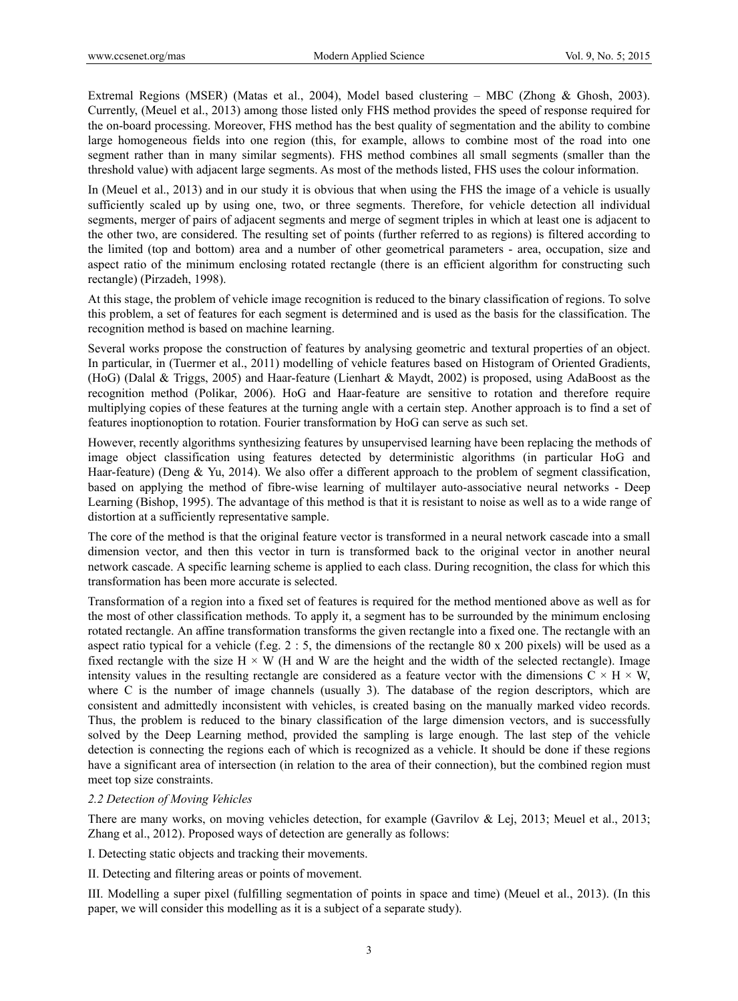Extremal Regions (MSER) (Matas et al., 2004), Model based clustering – MBC (Zhong & Ghosh, 2003). Currently, (Meuel et al., 2013) among those listed only FHS method provides the speed of response required for the on-board processing. Moreover, FHS method has the best quality of segmentation and the ability to combine large homogeneous fields into one region (this, for example, allows to combine most of the road into one segment rather than in many similar segments). FHS method combines all small segments (smaller than the threshold value) with adjacent large segments. As most of the methods listed, FHS uses the colour information.

In (Meuel et al., 2013) and in our study it is obvious that when using the FHS the image of a vehicle is usually sufficiently scaled up by using one, two, or three segments. Therefore, for vehicle detection all individual segments, merger of pairs of adjacent segments and merge of segment triples in which at least one is adjacent to the other two, are considered. The resulting set of points (further referred to as regions) is filtered according to the limited (top and bottom) area and a number of other geometrical parameters - area, occupation, size and aspect ratio of the minimum enclosing rotated rectangle (there is an efficient algorithm for constructing such rectangle) (Pirzadeh, 1998).

At this stage, the problem of vehicle image recognition is reduced to the binary classification of regions. To solve this problem, a set of features for each segment is determined and is used as the basis for the classification. The recognition method is based on machine learning.

Several works propose the construction of features by analysing geometric and textural properties of an object. In particular, in (Tuermer et al., 2011) modelling of vehicle features based on Histogram of Oriented Gradients, (HoG) (Dalal & Triggs, 2005) and Haar-feature (Lienhart & Maydt, 2002) is proposed, using AdaBoost as the recognition method (Polikar, 2006). HoG and Haar-feature are sensitive to rotation and therefore require multiplying copies of these features at the turning angle with a certain step. Another approach is to find a set of features inoptionoption to rotation. Fourier transformation by HoG can serve as such set.

However, recently algorithms synthesizing features by unsupervised learning have been replacing the methods of image object classification using features detected by deterministic algorithms (in particular HoG and Haar-feature) (Deng & Yu, 2014). We also offer a different approach to the problem of segment classification, based on applying the method of fibre-wise learning of multilayer auto-associative neural networks - Deep Learning (Bishop, 1995). The advantage of this method is that it is resistant to noise as well as to a wide range of distortion at a sufficiently representative sample.

The core of the method is that the original feature vector is transformed in a neural network cascade into a small dimension vector, and then this vector in turn is transformed back to the original vector in another neural network cascade. A specific learning scheme is applied to each class. During recognition, the class for which this transformation has been more accurate is selected.

Transformation of a region into a fixed set of features is required for the method mentioned above as well as for the most of other classification methods. To apply it, a segment has to be surrounded by the minimum enclosing rotated rectangle. An affine transformation transforms the given rectangle into a fixed one. The rectangle with an aspect ratio typical for a vehicle (f.eg.  $2:5$ , the dimensions of the rectangle 80 x 200 pixels) will be used as a fixed rectangle with the size  $H \times W$  (H and W are the height and the width of the selected rectangle). Image intensity values in the resulting rectangle are considered as a feature vector with the dimensions  $C \times H \times W$ , where C is the number of image channels (usually 3). The database of the region descriptors, which are consistent and admittedly inconsistent with vehicles, is created basing on the manually marked video records. Thus, the problem is reduced to the binary classification of the large dimension vectors, and is successfully solved by the Deep Learning method, provided the sampling is large enough. The last step of the vehicle detection is connecting the regions each of which is recognized as a vehicle. It should be done if these regions have a significant area of intersection (in relation to the area of their connection), but the combined region must meet top size constraints.

## *2.2 Detection of Moving Vehicles*

There are many works, on moving vehicles detection, for example (Gavrilov & Lej, 2013; Meuel et al., 2013; Zhang et al., 2012). Proposed ways of detection are generally as follows:

I. Detecting static objects and tracking their movements.

II. Detecting and filtering areas or points of movement.

III. Modelling a super pixel (fulfilling segmentation of points in space and time) (Meuel et al., 2013). (In this paper, we will consider this modelling as it is a subject of a separate study).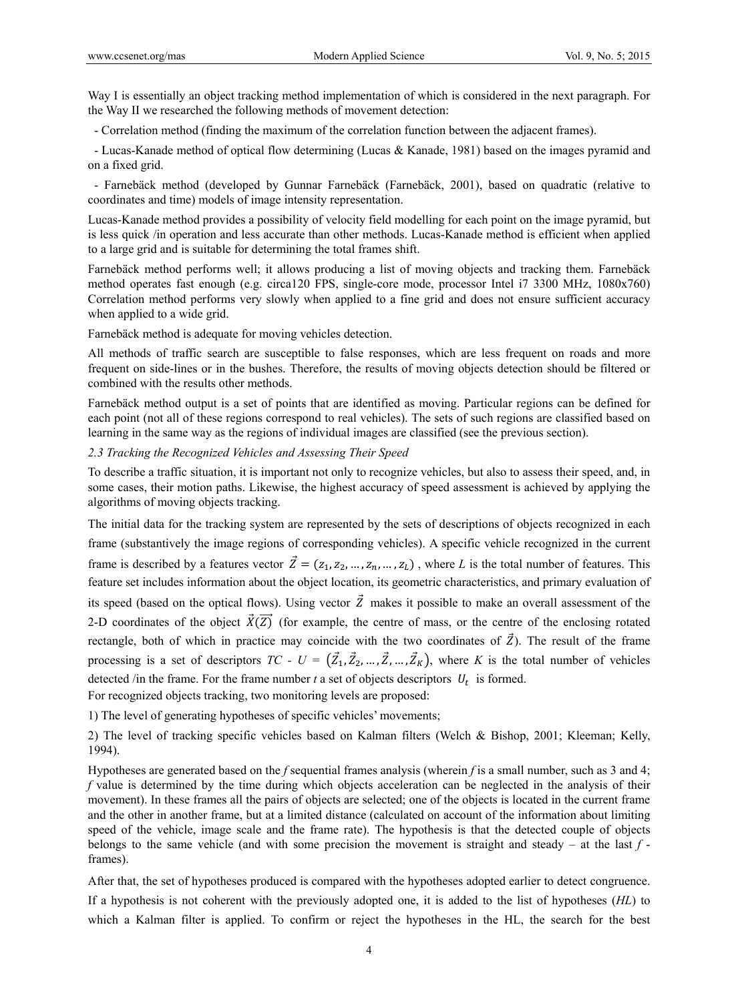Way I is essentially an object tracking method implementation of which is considered in the next paragraph. For the Way II we researched the following methods of movement detection:

- Correlation method (finding the maximum of the correlation function between the adjacent frames).

 - Lucas-Kanade method of optical flow determining (Lucas & Kanade, 1981) based on the images pyramid and on a fixed grid.

 - Farnebäck method (developed by Gunnar Farnebäck (Farnebäck, 2001), based on quadratic (relative to coordinates and time) models of image intensity representation.

Lucas-Kanade method provides a possibility of velocity field modelling for each point on the image pyramid, but is less quick /in operation and less accurate than other methods. Lucas-Kanade method is efficient when applied to a large grid and is suitable for determining the total frames shift.

Farnebäck method performs well; it allows producing a list of moving objects and tracking them. Farnebäck method operates fast enough (e.g. circa120 FPS, single-core mode, processor Intel i7 3300 MHz, 1080x760) Correlation method performs very slowly when applied to a fine grid and does not ensure sufficient accuracy when applied to a wide grid.

Farnebäck method is adequate for moving vehicles detection.

All methods of traffic search are susceptible to false responses, which are less frequent on roads and more frequent on side-lines or in the bushes. Therefore, the results of moving objects detection should be filtered or combined with the results other methods.

Farnebäck method output is a set of points that are identified as moving. Particular regions can be defined for each point (not all of these regions correspond to real vehicles). The sets of such regions are classified based on learning in the same way as the regions of individual images are classified (see the previous section).

*2.3 Tracking the Recognized Vehicles and Assessing Their Speed*

To describe a traffic situation, it is important not only to recognize vehicles, but also to assess their speed, and, in some cases, their motion paths. Likewise, the highest accuracy of speed assessment is achieved by applying the algorithms of moving objects tracking.

The initial data for the tracking system are represented by the sets of descriptions of objects recognized in each frame (substantively the image regions of corresponding vehicles). A specific vehicle recognized in the current frame is described by a features vector  $\vec{Z} = (z_1, z_2, ..., z_n, ..., z_L)$ , where *L* is the total number of features. This feature set includes information about the object location, its geometric characteristics, and primary evaluation of its speed (based on the optical flows). Using vector  $\vec{Z}$  makes it possible to make an overall assessment of the 2-D coordinates of the object  $\vec{X}(\vec{Z})$  (for example, the centre of mass, or the centre of the enclosing rotated rectangle, both of which in practice may coincide with the two coordinates of  $\vec{Z}$ ). The result of the frame processing is a set of descriptors  $TC - U = (\vec{Z}_1, \vec{Z}_2, ..., \vec{Z}_K)$ , where *K* is the total number of vehicles detected /in the frame. For the frame number  $t$  a set of objects descriptors  $U_t$  is formed.

For recognized objects tracking, two monitoring levels are proposed:

1) The level of generating hypotheses of specific vehicles' movements;

2) The level of tracking specific vehicles based on Kalman filters (Welch & Bishop, 2001; Kleeman; Kelly, 1994).

Hypotheses are generated based on the *f* sequential frames analysis (wherein *f* is a small number, such as 3 and 4; *f* value is determined by the time during which objects acceleration can be neglected in the analysis of their movement). In these frames all the pairs of objects are selected; one of the objects is located in the current frame and the other in another frame, but at a limited distance (calculated on account of the information about limiting speed of the vehicle, image scale and the frame rate). The hypothesis is that the detected couple of objects belongs to the same vehicle (and with some precision the movement is straight and steady – at the last *f* frames).

After that, the set of hypotheses produced is compared with the hypotheses adopted earlier to detect congruence. If a hypothesis is not coherent with the previously adopted one, it is added to the list of hypotheses (*HL*) to which a Kalman filter is applied. To confirm or reject the hypotheses in the HL, the search for the best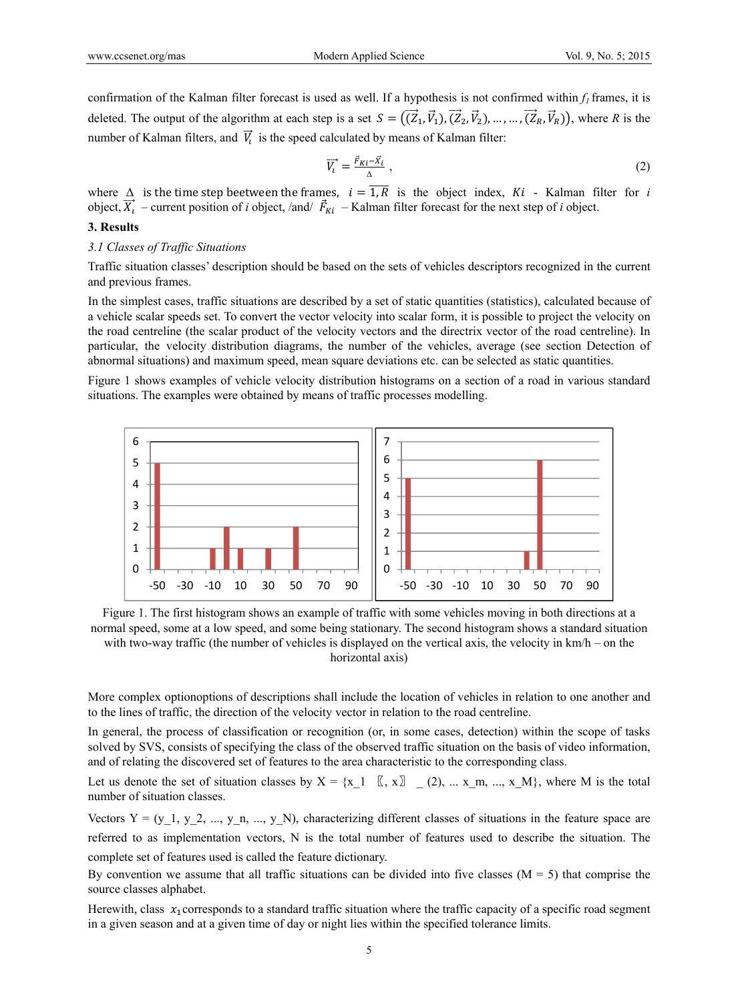confirmation of the Kalman filter forecast is used as well. If a hypothesis is not confirmed within  $f<sub>1</sub>$  frames, it is deleted. The output of the algorithm at each step is a set  $S = (\vec{Z}_1, \vec{V}_1), (\vec{Z}_2, \vec{V}_2), \dots, (\vec{Z}_R, \vec{V}_R)$ , where R is the number of Kalman filters, and  $\vec{V}$  is the speed calculated by means of Kalman filter:

$$
\overrightarrow{V_l} = \frac{\overrightarrow{F}_{Ki} - \overrightarrow{X}_i}{\Delta} \tag{2}
$$

where  $\Delta$  is the time step beetween the frames,  $i = \overline{1, R}$  is the object index,  $Ki$  - Kalman filter for *i* object,  $\overrightarrow{X}_l$  – current position of *i* object, /and/  $\vec{F}_{Ki}$  – Kalman filter forecast for the next step of *i* object.

# **3. Results**

#### *3.1 Classes of Traffic Situations*

Traffic situation classes' description should be based on the sets of vehicles descriptors recognized in the current and previous frames.

In the simplest cases, traffic situations are described by a set of static quantities (statistics), calculated because of a vehicle scalar speeds set. To convert the vector velocity into scalar form, it is possible to project the velocity on the road centreline (the scalar product of the velocity vectors and the directrix vector of the road centreline). In particular, the velocity distribution diagrams, the number of the vehicles, average (see section Detection of abnormal situations) and maximum speed, mean square deviations etc. can be selected as static quantities.

Figure 1 shows examples of vehicle velocity distribution histograms on a section of a road in various standard situations. The examples were obtained by means of traffic processes modelling.



Figure 1. The first histogram shows an example of traffic with some vehicles moving in both directions at a normal speed, some at a low speed, and some being stationary. The second histogram shows a standard situation with two-way traffic (the number of vehicles is displayed on the vertical axis, the velocity in km/h – on the horizontal axis)

More complex optionoptions of descriptions shall include the location of vehicles in relation to one another and to the lines of traffic, the direction of the velocity vector in relation to the road centreline.

In general, the process of classification or recognition (or, in some cases, detection) within the scope of tasks solved by SVS, consists of specifying the class of the observed traffic situation on the basis of video information, and of relating the discovered set of features to the area characteristic to the corresponding class.

Let us denote the set of situation classes by  $X = \{x \mid \mathbb{I}, x\}$   $(2), ... x \in \mathbb{M}\}$ , where M is the total number of situation classes.

Vectors  $Y = (y_1, y_2, ..., y_n, ..., y_N)$ , characterizing different classes of situations in the feature space are referred to as implementation vectors, N is the total number of features used to describe the situation. The complete set of features used is called the feature dictionary.

By convention we assume that all traffic situations can be divided into five classes ( $M = 5$ ) that comprise the source classes alphabet.

Herewith, class  $x_1$  corresponds to a standard traffic situation where the traffic capacity of a specific road segment in a given season and at a given time of day or night lies within the specified tolerance limits.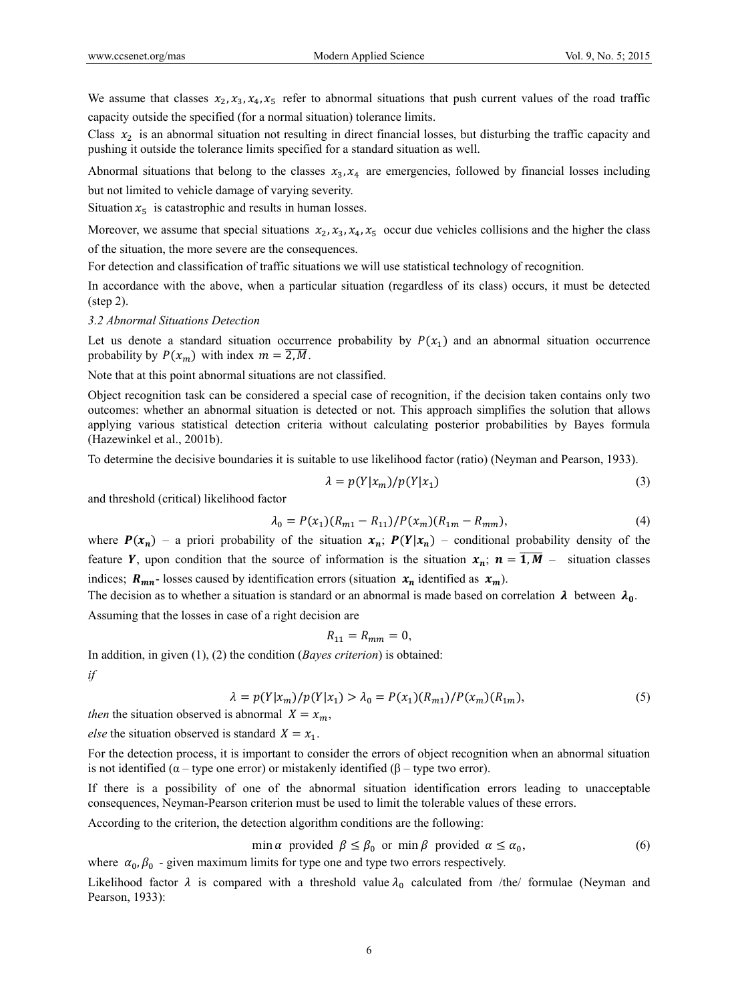We assume that classes  $x_2, x_3, x_4, x_5$  refer to abnormal situations that push current values of the road traffic capacity outside the specified (for a normal situation) tolerance limits.

Class  $x_2$  is an abnormal situation not resulting in direct financial losses, but disturbing the traffic capacity and pushing it outside the tolerance limits specified for a standard situation as well.

Abnormal situations that belong to the classes  $x_3, x_4$  are emergencies, followed by financial losses including

but not limited to vehicle damage of varying severity.

Situation  $x_5$  is catastrophic and results in human losses.

Moreover, we assume that special situations  $x_2, x_3, x_4, x_5$  occur due vehicles collisions and the higher the class of the situation, the more severe are the consequences.

For detection and classification of traffic situations we will use statistical technology of recognition.

In accordance with the above, when a particular situation (regardless of its class) occurs, it must be detected (step 2).

#### *3.2 Abnormal Situations Detection*

Let us denote a standard situation occurrence probability by  $P(x_1)$  and an abnormal situation occurrence probability by  $P(x_m)$  with index  $m = \overline{2, M}$ .

Note that at this point abnormal situations are not classified.

Object recognition task can be considered a special case of recognition, if the decision taken contains only two outcomes: whether an abnormal situation is detected or not. This approach simplifies the solution that allows applying various statistical detection criteria without calculating posterior probabilities by Bayes formula (Hazewinkel et al., 2001b).

To determine the decisive boundaries it is suitable to use likelihood factor (ratio) (Neyman and Pearson, 1933).

$$
\lambda = p(Y|x_m)/p(Y|x_1) \tag{3}
$$

and threshold (critical) likelihood factor

$$
\lambda_0 = P(x_1)(R_{m1} - R_{11})/P(x_m)(R_{1m} - R_{mm}),\tag{4}
$$

where  $P(x_n)$  – a priori probability of the situation  $x_n$ ;  $P(Y|x_n)$  – conditional probability density of the feature Y, upon condition that the source of information is the situation  $x_n$ ;  $n = \overline{1,M}$  – situation classes indices;  $R_{mn}$ -losses caused by identification errors (situation  $x_n$  identified as  $x_m$ ).

The decision as to whether a situation is standard or an abnormal is made based on correlation  $\lambda$  between  $\lambda_0$ . Assuming that the losses in case of a right decision are

 $R_{11} = R_{mm} = 0,$ 

In addition, in given (1), (2) the condition (*Bayes criterion*) is obtained:

*if* 

$$
\lambda = p(Y|x_m)/p(Y|x_1) > \lambda_0 = P(x_1)(R_{m1})/P(x_m)(R_{1m}),
$$
\n(5)

*then* the situation observed is abnormal  $X = x_m$ ,

*else* the situation observed is standard  $X = x_1$ .

For the detection process, it is important to consider the errors of object recognition when an abnormal situation is not identified ( $α$  – type one error) or mistakenly identified ( $β$  – type two error).

If there is a possibility of one of the abnormal situation identification errors leading to unacceptable consequences, Neyman-Pearson criterion must be used to limit the tolerable values of these errors.

According to the criterion, the detection algorithm conditions are the following:

$$
\min \alpha \text{ provided } \beta \le \beta_0 \text{ or } \min \beta \text{ provided } \alpha \le \alpha_0,\tag{6}
$$

where  $\alpha_0$ ,  $\beta_0$  - given maximum limits for type one and type two errors respectively.

Likelihood factor  $\lambda$  is compared with a threshold value  $\lambda_0$  calculated from /the/ formulae (Neyman and Pearson, 1933):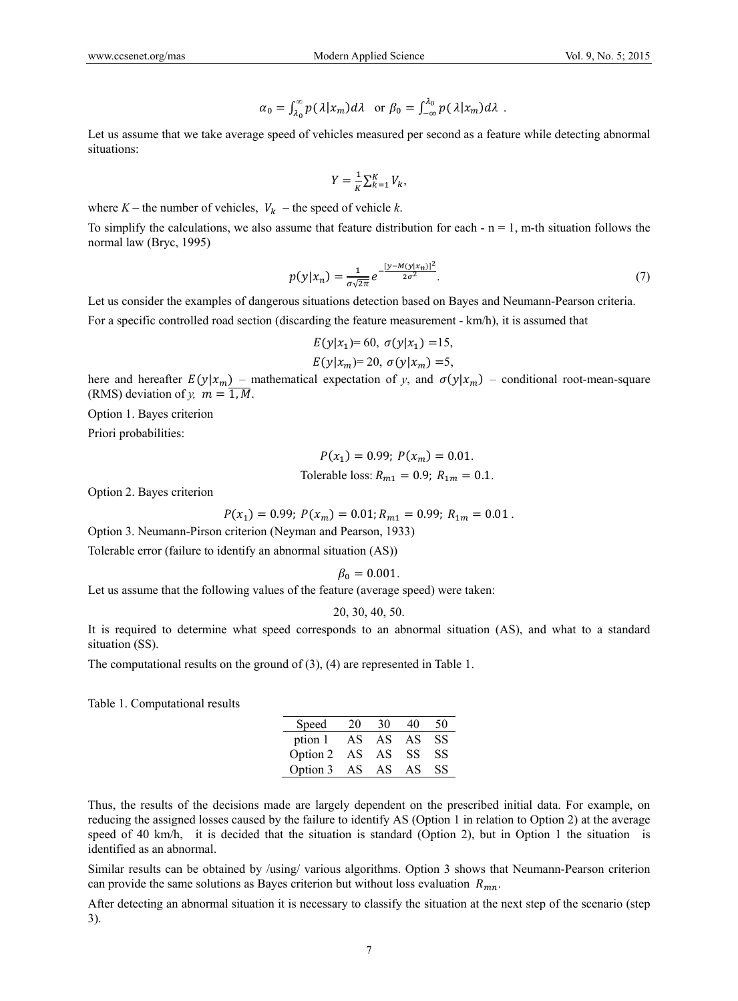$$
\alpha_0 = \int_{\lambda_0}^{\infty} p(\lambda | x_m) d\lambda \text{ or } \beta_0 = \int_{-\infty}^{\lambda_0} p(\lambda | x_m) d\lambda.
$$

Let us assume that we take average speed of vehicles measured per second as a feature while detecting abnormal situations:

$$
Y = \frac{1}{K} \sum_{k=1}^K V_k,
$$

where  $K$  – the number of vehicles,  $V_k$  – the speed of vehicle *k*.

To simplify the calculations, we also assume that feature distribution for each  $- n = 1$ , m-th situation follows the normal law (Bryc, 1995)

$$
p(y|x_n) = \frac{1}{\sigma\sqrt{2\pi}}e^{-\frac{[y-M(y|x_n)]^2}{2\sigma^2}}.
$$
\n
$$
(7)
$$

Let us consider the examples of dangerous situations detection based on Bayes and Neumann-Pearson criteria.

For a specific controlled road section (discarding the feature measurement - km/h), it is assumed that

$$
E(y|x_1)=60, \sigma(y|x_1)=15,
$$
  

$$
E(y|x_m)=20, \sigma(y|x_m)=5,
$$

here and hereafter  $E(y|x_m)$  – mathematical expectation of *y*, and  $\sigma(y|x_m)$  – conditional root-mean-square (RMS) deviation of *y*,  $m = \overline{1, M}$ .

Option 1. Bayes criterion

Priori probabilities:

$$
P(x_1) = 0.99; P(x_m) = 0.01.
$$
  
Tolerable loss:  $R_{m1} = 0.9; R_{1m} = 0.1.$ 

Option 2. Bayes criterion

$$
P(x_1) = 0.99; P(x_m) = 0.01; R_{m1} = 0.99; R_{1m} = 0.01.
$$

Option 3. Neumann-Pirson criterion (Neyman and Pearson, 1933)

Tolerable error (failure to identify an abnormal situation (AS))

$$
\beta_0=0.001.
$$

Let us assume that the following values of the feature (average speed) were taken:

20, 30, 40, 50.

It is required to determine what speed corresponds to an abnormal situation (AS), and what to a standard situation (SS).

The computational results on the ground of (3), (4) are represented in Table 1.

Table 1. Computational results

| Speed    | 20  | 30 | 40 | 50 |
|----------|-----|----|----|----|
| ption 1  | AS  | AS | AS | SS |
| Option 2 | AS. | AS | SS | SS |
| Option 3 | AS  | AS | АS | SS |

Thus, the results of the decisions made are largely dependent on the prescribed initial data. For example, on reducing the assigned losses caused by the failure to identify AS (Option 1 in relation to Option 2) at the average speed of 40 km/h, it is decided that the situation is standard (Option 2), but in Option 1 the situation is identified as an abnormal.

Similar results can be obtained by /using/ various algorithms. Option 3 shows that Neumann-Pearson criterion can provide the same solutions as Bayes criterion but without loss evaluation  $R_{mn}$ .

After detecting an abnormal situation it is necessary to classify the situation at the next step of the scenario (step 3).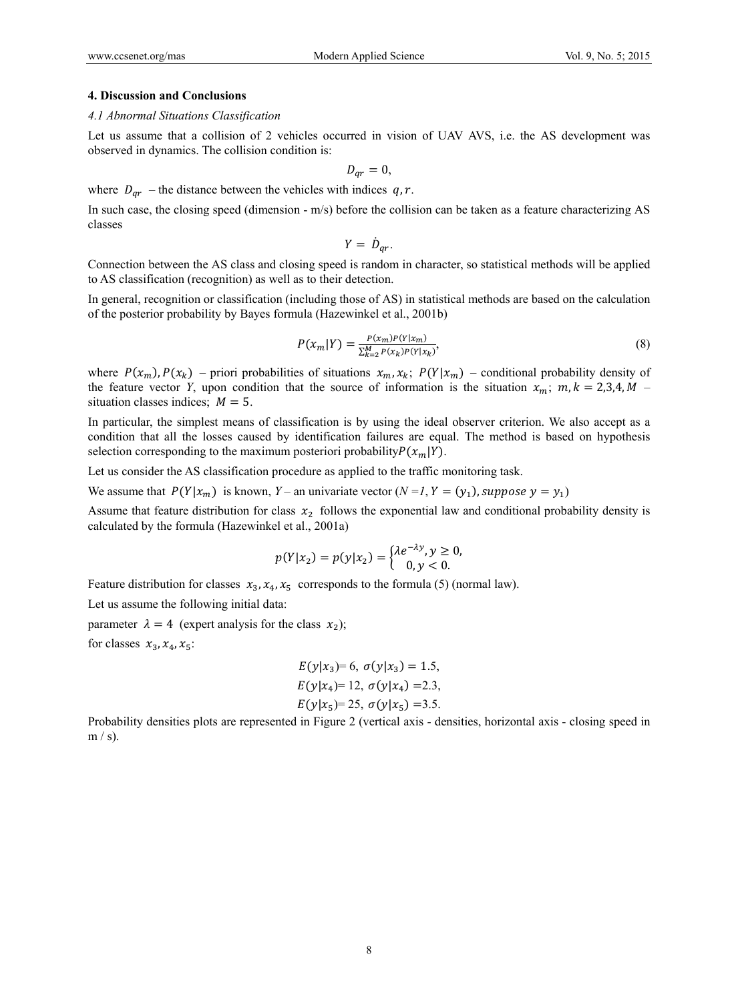#### **4. Discussion and Conclusions**

#### *4.1 Abnormal Situations Classification*

Let us assume that a collision of 2 vehicles occurred in vision of UAV AVS, i.e. the AS development was observed in dynamics. The collision condition is:

$$
D_{qr}=0,
$$

where  $D_{ar}$  – the distance between the vehicles with indices q, r.

In such case, the closing speed (dimension - m/s) before the collision can be taken as a feature characterizing AS classes

$$
Y = \dot{D}_{qr}.
$$

Connection between the AS class and closing speed is random in character, so statistical methods will be applied to AS classification (recognition) as well as to their detection.

In general, recognition or classification (including those of AS) in statistical methods are based on the calculation of the posterior probability by Bayes formula (Hazewinkel et al., 2001b)

$$
P(x_m|Y) = \frac{P(x_m)P(Y|x_m)}{\sum_{k=2}^{M} P(x_k)P(Y|x_k)},
$$
\n(8)

where  $P(x_m)$ ,  $P(x_k)$  – priori probabilities of situations  $x_m$ ,  $x_k$ ;  $P(Y|x_m)$  – conditional probability density of the feature vector *Y*, upon condition that the source of information is the situation  $x_m$ ;  $m, k = 2,3,4, M$ situation classes indices;  $M = 5$ .

In particular, the simplest means of classification is by using the ideal observer criterion. We also accept as a condition that all the losses caused by identification failures are equal. The method is based on hypothesis selection corresponding to the maximum posteriori probability  $P(x_m|Y)$ .

Let us consider the AS classification procedure as applied to the traffic monitoring task.

We assume that  $P(Y|x_m)$  is known, *Y* – an univariate vector  $(N = I, Y = (y_1)$ , suppose  $y = y_1$ 

Assume that feature distribution for class  $x_2$  follows the exponential law and conditional probability density is calculated by the formula (Hazewinkel et al., 2001a)

$$
p(Y|x_2) = p(y|x_2) = \begin{cases} \lambda e^{-\lambda y}, y \ge 0, \\ 0, y < 0. \end{cases}
$$

Feature distribution for classes  $x_3, x_4, x_5$  corresponds to the formula (5) (normal law).

Let us assume the following initial data:

parameter  $\lambda = 4$  (expert analysis for the class  $x_2$ );

for classes  $x_3, x_4, x_5$ :

$$
E(y|x_3) = 6, \sigma(y|x_3) = 1.5,
$$
  
\n
$$
E(y|x_4) = 12, \sigma(y|x_4) = 2.3,
$$
  
\n
$$
E(y|x_5) = 25, \sigma(y|x_5) = 3.5.
$$

Probability densities plots are represented in Figure 2 (vertical axis - densities, horizontal axis - closing speed in  $m / s$ ).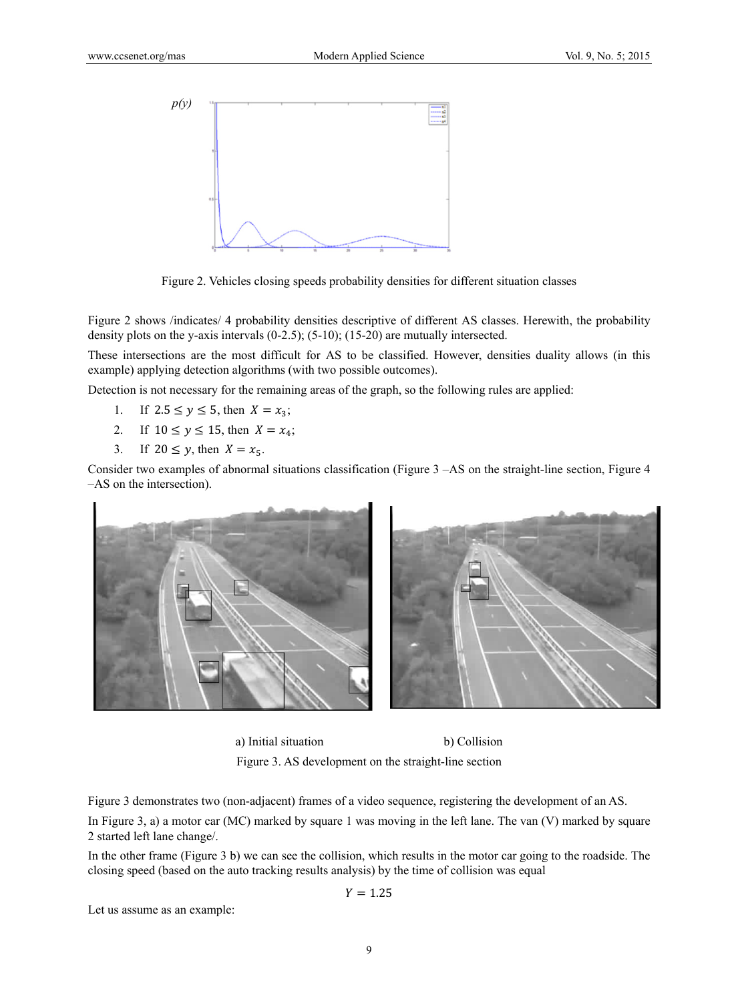

Figure 2. Vehicles closing speeds probability densities for different situation classes

Figure 2 shows /indicates/ 4 probability densities descriptive of different AS classes. Herewith, the probability density plots on the y-axis intervals (0-2.5); (5-10); (15-20) are mutually intersected.

These intersections are the most difficult for AS to be classified. However, densities duality allows (in this example) applying detection algorithms (with two possible outcomes).

Detection is not necessary for the remaining areas of the graph, so the following rules are applied:

- 1. If  $2.5 \le y \le 5$ , then  $X = x_3$ ;
- 2. If  $10 \le y \le 15$ , then  $X = x_4$ ;
- 3. If  $20 \leq y$ , then  $X = x_5$ .

Consider two examples of abnormal situations classification (Figure 3 –AS on the straight-line section, Figure 4 –AS on the intersection).





a) Initial situation b) Collision Figure 3. AS development on the straight-line section

Figure 3 demonstrates two (non-adjacent) frames of a video sequence, registering the development of an AS.

In Figure 3, a) a motor car (MC) marked by square 1 was moving in the left lane. The van (V) marked by square 2 started left lane change/.

In the other frame (Figure 3 b) we can see the collision, which results in the motor car going to the roadside. The closing speed (based on the auto tracking results analysis) by the time of collision was equal

 $Y = 1.25$ 

Let us assume as an example: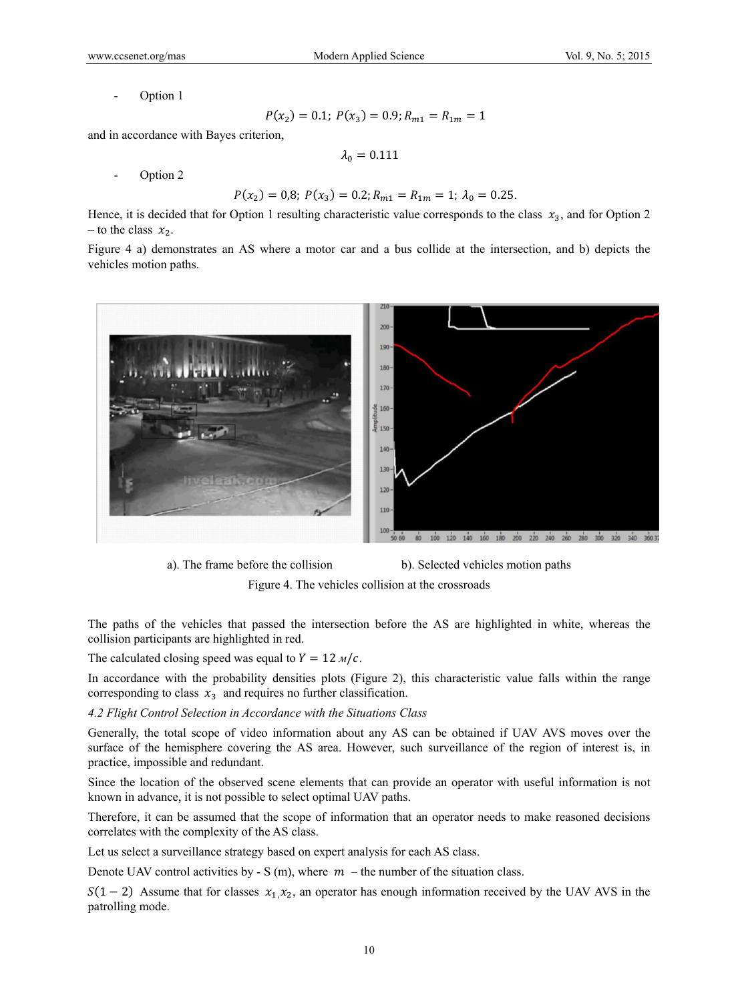Option 1

$$
P(x_2) = 0.1; P(x_3) = 0.9; R_{m1} = R_{1m} = 1
$$

and in accordance with Bayes criterion,

 $\lambda_0 = 0.111$ 

Option 2

$$
P(x_2) = 0.8; P(x_3) = 0.2; R_{m1} = R_{1m} = 1; \lambda_0 = 0.25.
$$

Hence, it is decided that for Option 1 resulting characteristic value corresponds to the class  $x_3$ , and for Option 2 – to the class  $x_2$ .

Figure 4 a) demonstrates an AS where a motor car and a bus collide at the intersection, and b) depicts the vehicles motion paths.



a). The frame before the collision b). Selected vehicles motion paths

Figure 4. The vehicles collision at the crossroads

The paths of the vehicles that passed the intersection before the AS are highlighted in white, whereas the collision participants are highlighted in red.

The calculated closing speed was equal to  $Y = 12 \frac{M}{c}$ .

In accordance with the probability densities plots (Figure 2), this characteristic value falls within the range corresponding to class  $x_3$  and requires no further classification.

## *4.2 Flight Control Selection in Accordance with the Situations Class*

Generally, the total scope of video information about any AS can be obtained if UAV AVS moves over the surface of the hemisphere covering the AS area. However, such surveillance of the region of interest is, in practice, impossible and redundant.

Since the location of the observed scene elements that can provide an operator with useful information is not known in advance, it is not possible to select optimal UAV paths.

Therefore, it can be assumed that the scope of information that an operator needs to make reasoned decisions correlates with the complexity of the AS class.

Let us select a surveillance strategy based on expert analysis for each AS class.

Denote UAV control activities by  $- S(m)$ , where  $m -$  the number of the situation class.

 $S(1-2)$  Assume that for classes  $x_1, x_2$ , an operator has enough information received by the UAV AVS in the patrolling mode.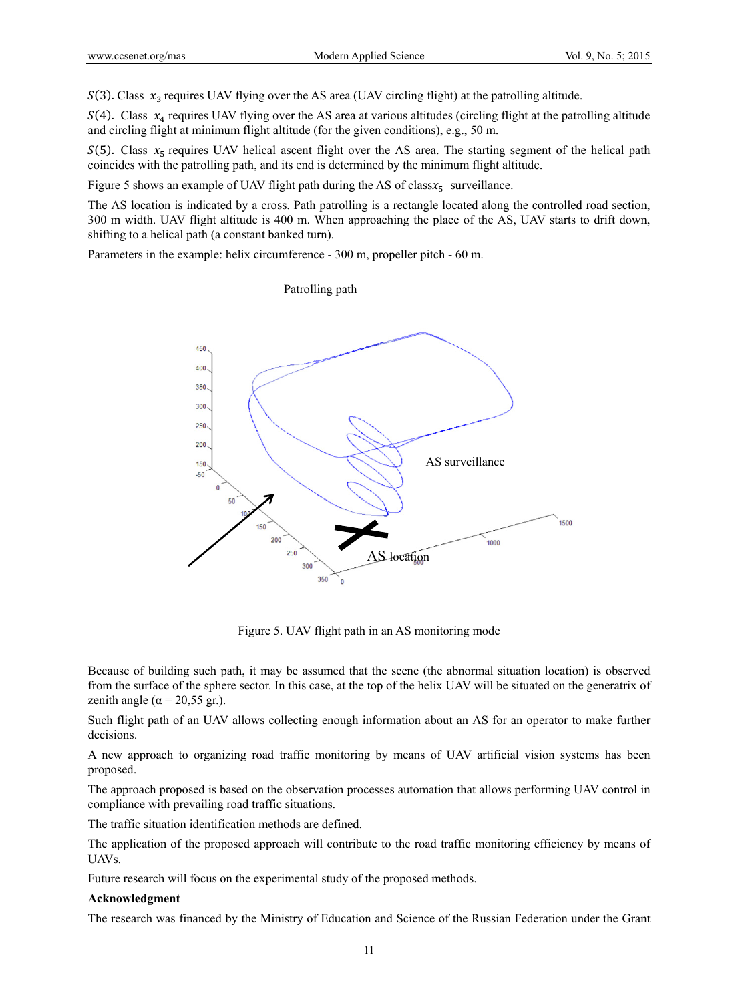$S(3)$ . Class  $x_3$  requires UAV flying over the AS area (UAV circling flight) at the patrolling altitude.

 $S(4)$ . Class  $x_4$  requires UAV flying over the AS area at various altitudes (circling flight at the patrolling altitude and circling flight at minimum flight altitude (for the given conditions), e.g., 50 m.

 $S(5)$ . Class  $x<sub>5</sub>$  requires UAV helical ascent flight over the AS area. The starting segment of the helical path coincides with the patrolling path, and its end is determined by the minimum flight altitude.

Figure 5 shows an example of UAV flight path during the AS of class $x_5$  surveillance.

The AS location is indicated by a cross. Path patrolling is a rectangle located along the controlled road section, 300 m width. UAV flight altitude is 400 m. When approaching the place of the AS, UAV starts to drift down, shifting to a helical path (a constant banked turn).

Parameters in the example: helix circumference - 300 m, propeller pitch - 60 m.

## Patrolling path



Figure 5. UAV flight path in an AS monitoring mode

Because of building such path, it may be assumed that the scene (the abnormal situation location) is observed from the surface of the sphere sector. In this case, at the top of the helix UAV will be situated on the generatrix of zenith angle ( $\alpha$  = 20,55 gr.).

Such flight path of an UAV allows collecting enough information about an AS for an operator to make further decisions.

A new approach to organizing road traffic monitoring by means of UAV artificial vision systems has been proposed.

The approach proposed is based on the observation processes automation that allows performing UAV control in compliance with prevailing road traffic situations.

The traffic situation identification methods are defined.

The application of the proposed approach will contribute to the road traffic monitoring efficiency by means of UAVs.

Future research will focus on the experimental study of the proposed methods.

#### **Acknowledgment**

The research was financed by the Ministry of Education and Science of the Russian Federation under the Grant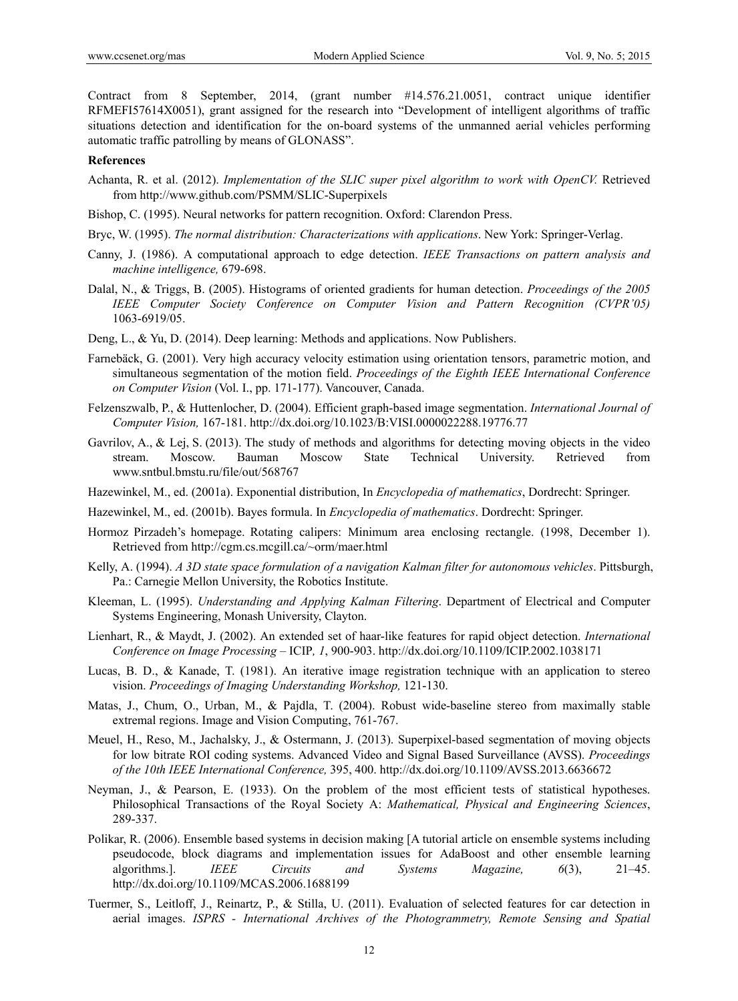Contract from 8 September, 2014, (grant number #14.576.21.0051, contract unique identifier RFMEFI57614X0051), grant assigned for the research into "Development of intelligent algorithms of traffic situations detection and identification for the on-board systems of the unmanned aerial vehicles performing automatic traffic patrolling by means of GLONASS".

#### **References**

- Achanta, R. et al. (2012). *Implementation of the SLIC super pixel algorithm to work with OpenCV.* Retrieved from http://www.github.com/PSMM/SLIC-Superpixels
- Bishop, C. (1995). Neural networks for pattern recognition. Oxford: Clarendon Press.
- Bryc, W. (1995). *The normal distribution: Characterizations with applications*. New York: Springer-Verlag.
- Canny, J. (1986). A computational approach to edge detection. *IEEE Transactions on pattern analysis and machine intelligence,* 679-698.
- Dalal, N., & Triggs, B. (2005). Histograms of oriented gradients for human detection. *Proceedings of the 2005 IEEE Computer Society Conference on Computer Vision and Pattern Recognition (CVPR'05)* 1063-6919/05.
- Deng, L., & Yu, D. (2014). Deep learning: Methods and applications. Now Publishers.
- Farnebäck, G. (2001). Very high accuracy velocity estimation using orientation tensors, parametric motion, and simultaneous segmentation of the motion field. *Proceedings of the Eighth IEEE International Conference on Computer Vision* (Vol. I., pp. 171-177). Vancouver, Canada.
- Felzenszwalb, P., & Huttenlocher, D. (2004). Efficient graph-based image segmentation. *International Journal of Computer Vision,* 167-181. http://dx.doi.org/10.1023/B:VISI.0000022288.19776.77
- Gavrilov, A., & Lej, S. (2013). The study of methods and algorithms for detecting moving objects in the video stream. Moscow. Bauman Moscow State Technical University. Retrieved from www.sntbul.bmstu.ru/file/out/568767
- Hazewinkel, M., ed. (2001a). Exponential distribution, In *Encyclopedia of mathematics*, Dordrecht: Springer.
- Hazewinkel, M., ed. (2001b). Bayes formula. In *Encyclopedia of mathematics*. Dordrecht: Springer.
- Hormoz Pirzadeh's homepage. Rotating calipers: Minimum area enclosing rectangle. (1998, December 1). Retrieved from http://cgm.cs.mcgill.ca/~orm/maer.html
- Kelly, A. (1994). *A 3D state space formulation of a navigation Kalman filter for autonomous vehicles*. Pittsburgh, Pa.: Carnegie Mellon University, the Robotics Institute.
- Kleeman, L. (1995). *Understanding and Applying Kalman Filtering*. Department of Electrical and Computer Systems Engineering, Monash University, Clayton.
- Lienhart, R., & Maydt, J. (2002). An extended set of haar-like features for rapid object detection. *International Conference on Image Processing* – ICIP*, 1*, 900-903. http://dx.doi.org/10.1109/ICIP.2002.1038171
- Lucas, B. D., & Kanade, T. (1981). An iterative image registration technique with an application to stereo vision. *Proceedings of Imaging Understanding Workshop,* 121-130.
- Matas, J., Chum, O., Urban, M., & Pajdla, T. (2004). Robust wide-baseline stereo from maximally stable extremal regions. Image and Vision Computing, 761-767.
- Meuel, H., Reso, M., Jachalsky, J., & Ostermann, J. (2013). Superpixel-based segmentation of moving objects for low bitrate ROI coding systems. Advanced Video and Signal Based Surveillance (AVSS). *Proceedings of the 10th IEEE International Conference,* 395, 400. http://dx.doi.org/10.1109/AVSS.2013.6636672
- Neyman, J., & Pearson, E. (1933). On the problem of the most efficient tests of statistical hypotheses. Philosophical Transactions of the Royal Society A: *Mathematical, Physical and Engineering Sciences*, 289-337.
- Polikar, R. (2006). Ensemble based systems in decision making [A tutorial article on ensemble systems including pseudocode, block diagrams and implementation issues for AdaBoost and other ensemble learning algorithms.]. *IEEE Circuits and Systems Magazine, 6*(3), 21–45. http://dx.doi.org/10.1109/MCAS.2006.1688199
- Tuermer, S., Leitloff, J., Reinartz, P., & Stilla, U. (2011). Evaluation of selected features for car detection in aerial images. *ISPRS - International Archives of the Photogrammetry, Remote Sensing and Spatial*